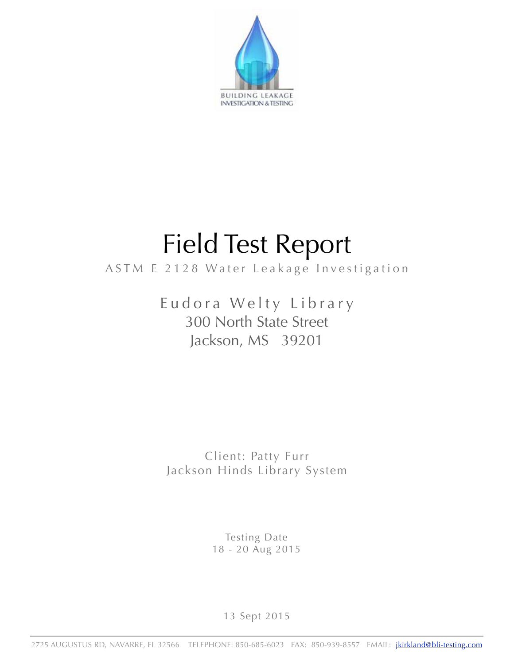

# Field Test Report

## ASTM E 2128 Water Leakage Investigation

Eudora Welty Library 300 North State Street Jackson, MS 39201

Client: Patty Furr Jackson Hinds Library System

> Testing Date 18 - 20 Aug 2015

> > 13 Sept 2015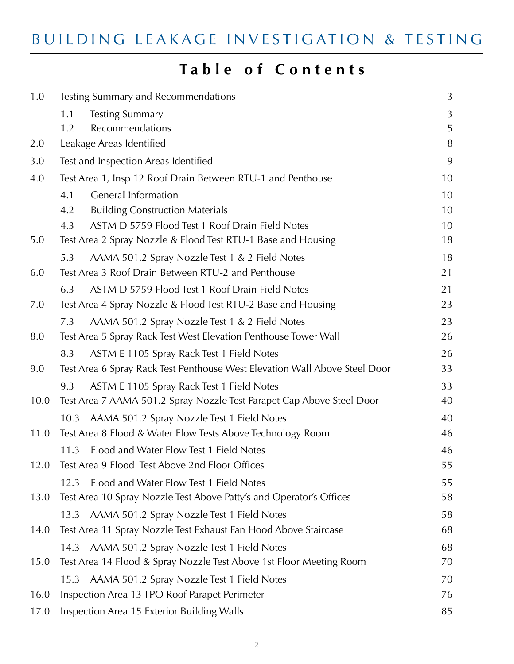# **Table of Contents**

| 1.0  | Testing Summary and Recommendations                                        | 3      |
|------|----------------------------------------------------------------------------|--------|
|      |                                                                            |        |
|      | <b>Testing Summary</b><br>1.1<br>Recommendations<br>1.2                    | 3<br>5 |
| 2.0  | Leakage Areas Identified                                                   | 8      |
| 3.0  | Test and Inspection Areas Identified                                       | 9      |
| 4.0  | Test Area 1, Insp 12 Roof Drain Between RTU-1 and Penthouse                | 10     |
|      | <b>General Information</b><br>4.1                                          | 10     |
|      | 4.2<br><b>Building Construction Materials</b>                              | 10     |
|      | ASTM D 5759 Flood Test 1 Roof Drain Field Notes<br>4.3                     | 10     |
| 5.0  | Test Area 2 Spray Nozzle & Flood Test RTU-1 Base and Housing               | 18     |
|      | AAMA 501.2 Spray Nozzle Test 1 & 2 Field Notes<br>5.3                      | 18     |
| 6.0  | Test Area 3 Roof Drain Between RTU-2 and Penthouse                         | 21     |
|      | ASTM D 5759 Flood Test 1 Roof Drain Field Notes<br>6.3                     | 21     |
| 7.0  | Test Area 4 Spray Nozzle & Flood Test RTU-2 Base and Housing               | 23     |
|      | AAMA 501.2 Spray Nozzle Test 1 & 2 Field Notes<br>7.3                      | 23     |
| 8.0  | Test Area 5 Spray Rack Test West Elevation Penthouse Tower Wall            | 26     |
|      | ASTM E 1105 Spray Rack Test 1 Field Notes<br>8.3                           | 26     |
| 9.0  | Test Area 6 Spray Rack Test Penthouse West Elevation Wall Above Steel Door | 33     |
|      | ASTM E 1105 Spray Rack Test 1 Field Notes<br>9.3                           | 33     |
| 10.0 | Test Area 7 AAMA 501.2 Spray Nozzle Test Parapet Cap Above Steel Door      | 40     |
|      | AAMA 501.2 Spray Nozzle Test 1 Field Notes<br>10.3                         | 40     |
| 11.0 | Test Area 8 Flood & Water Flow Tests Above Technology Room                 | 46     |
|      | Flood and Water Flow Test 1 Field Notes<br>11.3                            | 46     |
| 12.0 | Test Area 9 Flood Test Above 2nd Floor Offices                             | 55     |
|      | Flood and Water Flow Test 1 Field Notes<br>12.3                            | 55     |
| 13.0 | Test Area 10 Spray Nozzle Test Above Patty's and Operator's Offices        | 58     |
|      | AAMA 501.2 Spray Nozzle Test 1 Field Notes<br>13.3                         | 58     |
| 14.0 | Test Area 11 Spray Nozzle Test Exhaust Fan Hood Above Staircase            | 68     |
|      | AAMA 501.2 Spray Nozzle Test 1 Field Notes<br>14.3                         | 68     |
| 15.0 | Test Area 14 Flood & Spray Nozzle Test Above 1st Floor Meeting Room        | 70     |
|      | AAMA 501.2 Spray Nozzle Test 1 Field Notes<br>15.3                         | 70     |
| 16.0 | Inspection Area 13 TPO Roof Parapet Perimeter                              | 76     |
| 17.0 | Inspection Area 15 Exterior Building Walls                                 | 85     |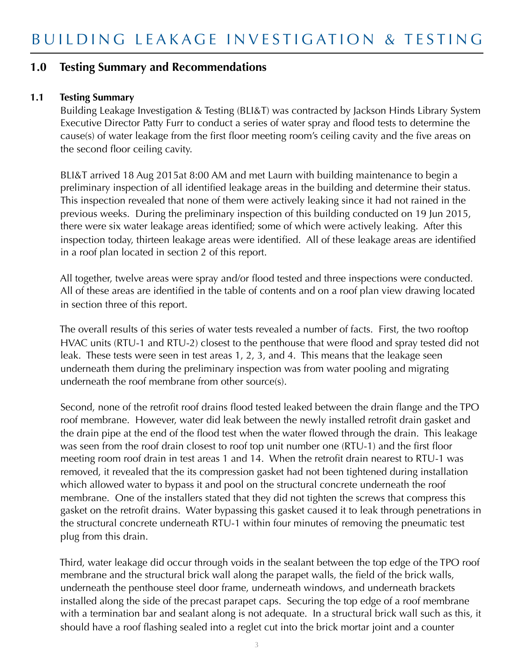#### **1.0 Testing Summary and Recommendations**

#### **1.1 Testing Summary**

Building Leakage Investigation & Testing (BLI&T) was contracted by Jackson Hinds Library System Executive Director Patty Furr to conduct a series of water spray and flood tests to determine the cause(s) of water leakage from the first floor meeting room's ceiling cavity and the five areas on the second floor ceiling cavity.

 BLI&T arrived 18 Aug 2015at 8:00 AM and met Laurn with building maintenance to begin a preliminary inspection of all identified leakage areas in the building and determine their status. This inspection revealed that none of them were actively leaking since it had not rained in the previous weeks. During the preliminary inspection of this building conducted on 19 Jun 2015, there were six water leakage areas identified; some of which were actively leaking. After this inspection today, thirteen leakage areas were identified. All of these leakage areas are identified in a roof plan located in section 2 of this report.

 All together, twelve areas were spray and/or flood tested and three inspections were conducted. All of these areas are identified in the table of contents and on a roof plan view drawing located in section three of this report.

 The overall results of this series of water tests revealed a number of facts. First, the two rooftop HVAC units (RTU-1 and RTU-2) closest to the penthouse that were flood and spray tested did not leak. These tests were seen in test areas 1, 2, 3, and 4. This means that the leakage seen underneath them during the preliminary inspection was from water pooling and migrating underneath the roof membrane from other source(s).

 Second, none of the retrofit roof drains flood tested leaked between the drain flange and the TPO roof membrane. However, water did leak between the newly installed retrofit drain gasket and the drain pipe at the end of the flood test when the water flowed through the drain. This leakage was seen from the roof drain closest to roof top unit number one (RTU-1) and the first floor meeting room roof drain in test areas 1 and 14. When the retrofit drain nearest to RTU-1 was removed, it revealed that the its compression gasket had not been tightened during installation which allowed water to bypass it and pool on the structural concrete underneath the roof membrane. One of the installers stated that they did not tighten the screws that compress this gasket on the retrofit drains. Water bypassing this gasket caused it to leak through penetrations in the structural concrete underneath RTU-1 within four minutes of removing the pneumatic test plug from this drain.

 Third, water leakage did occur through voids in the sealant between the top edge of the TPO roof membrane and the structural brick wall along the parapet walls, the field of the brick walls, underneath the penthouse steel door frame, underneath windows, and underneath brackets installed along the side of the precast parapet caps. Securing the top edge of a roof membrane with a termination bar and sealant along is not adequate. In a structural brick wall such as this, it should have a roof flashing sealed into a reglet cut into the brick mortar joint and a counter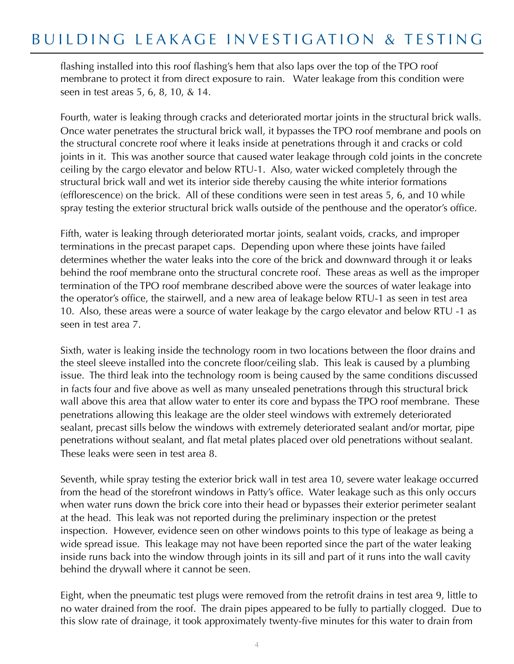# BUILDING LEAKAGE INVESTIGATION & TESTING

flashing installed into this roof flashing's hem that also laps over the top of the TPO roof membrane to protect it from direct exposure to rain. Water leakage from this condition were seen in test areas 5, 6, 8, 10, & 14.

 Fourth, water is leaking through cracks and deteriorated mortar joints in the structural brick walls. Once water penetrates the structural brick wall, it bypasses the TPO roof membrane and pools on the structural concrete roof where it leaks inside at penetrations through it and cracks or cold joints in it. This was another source that caused water leakage through cold joints in the concrete ceiling by the cargo elevator and below RTU-1. Also, water wicked completely through the structural brick wall and wet its interior side thereby causing the white interior formations (efflorescence) on the brick. All of these conditions were seen in test areas 5, 6, and 10 while spray testing the exterior structural brick walls outside of the penthouse and the operator's office.

 Fifth, water is leaking through deteriorated mortar joints, sealant voids, cracks, and improper terminations in the precast parapet caps. Depending upon where these joints have failed determines whether the water leaks into the core of the brick and downward through it or leaks behind the roof membrane onto the structural concrete roof. These areas as well as the improper termination of the TPO roof membrane described above were the sources of water leakage into the operator's office, the stairwell, and a new area of leakage below RTU-1 as seen in test area 10. Also, these areas were a source of water leakage by the cargo elevator and below RTU -1 as seen in test area 7.

 Sixth, water is leaking inside the technology room in two locations between the floor drains and the steel sleeve installed into the concrete floor/ceiling slab. This leak is caused by a plumbing issue. The third leak into the technology room is being caused by the same conditions discussed in facts four and five above as well as many unsealed penetrations through this structural brick wall above this area that allow water to enter its core and bypass the TPO roof membrane. These penetrations allowing this leakage are the older steel windows with extremely deteriorated sealant, precast sills below the windows with extremely deteriorated sealant and/or mortar, pipe penetrations without sealant, and flat metal plates placed over old penetrations without sealant. These leaks were seen in test area 8.

 Seventh, while spray testing the exterior brick wall in test area 10, severe water leakage occurred from the head of the storefront windows in Patty's office. Water leakage such as this only occurs when water runs down the brick core into their head or bypasses their exterior perimeter sealant at the head. This leak was not reported during the preliminary inspection or the pretest inspection. However, evidence seen on other windows points to this type of leakage as being a wide spread issue. This leakage may not have been reported since the part of the water leaking inside runs back into the window through joints in its sill and part of it runs into the wall cavity behind the drywall where it cannot be seen.

 Eight, when the pneumatic test plugs were removed from the retrofit drains in test area 9, little to no water drained from the roof. The drain pipes appeared to be fully to partially clogged. Due to this slow rate of drainage, it took approximately twenty-five minutes for this water to drain from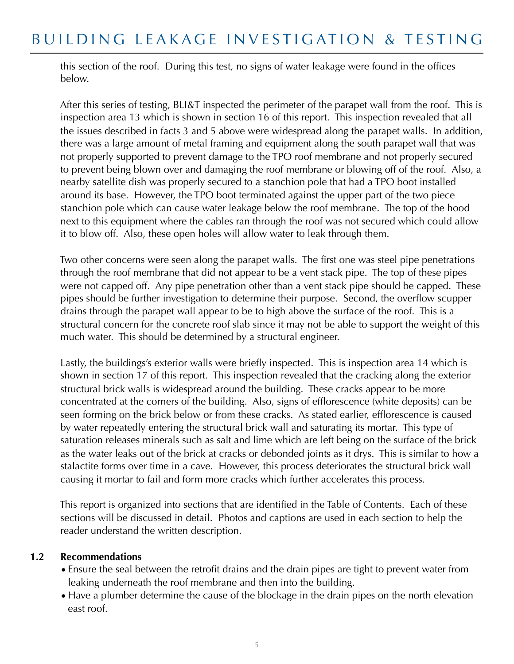this section of the roof. During this test, no signs of water leakage were found in the offices below.

 After this series of testing, BLI&T inspected the perimeter of the parapet wall from the roof. This is inspection area 13 which is shown in section 16 of this report. This inspection revealed that all the issues described in facts 3 and 5 above were widespread along the parapet walls. In addition, there was a large amount of metal framing and equipment along the south parapet wall that was not properly supported to prevent damage to the TPO roof membrane and not properly secured to prevent being blown over and damaging the roof membrane or blowing off of the roof. Also, a nearby satellite dish was properly secured to a stanchion pole that had a TPO boot installed around its base. However, the TPO boot terminated against the upper part of the two piece stanchion pole which can cause water leakage below the roof membrane. The top of the hood next to this equipment where the cables ran through the roof was not secured which could allow it to blow off. Also, these open holes will allow water to leak through them.

 Two other concerns were seen along the parapet walls. The first one was steel pipe penetrations through the roof membrane that did not appear to be a vent stack pipe. The top of these pipes were not capped off. Any pipe penetration other than a vent stack pipe should be capped. These pipes should be further investigation to determine their purpose. Second, the overflow scupper drains through the parapet wall appear to be to high above the surface of the roof. This is a structural concern for the concrete roof slab since it may not be able to support the weight of this much water. This should be determined by a structural engineer.

 Lastly, the buildings's exterior walls were briefly inspected. This is inspection area 14 which is shown in section 17 of this report. This inspection revealed that the cracking along the exterior structural brick walls is widespread around the building. These cracks appear to be more concentrated at the corners of the building. Also, signs of efflorescence (white deposits) can be seen forming on the brick below or from these cracks. As stated earlier, efflorescence is caused by water repeatedly entering the structural brick wall and saturating its mortar. This type of saturation releases minerals such as salt and lime which are left being on the surface of the brick as the water leaks out of the brick at cracks or debonded joints as it drys. This is similar to how a stalactite forms over time in a cave. However, this process deteriorates the structural brick wall causing it mortar to fail and form more cracks which further accelerates this process.

 This report is organized into sections that are identified in the Table of Contents. Each of these sections will be discussed in detail. Photos and captions are used in each section to help the reader understand the written description.

#### **1.2 Recommendations**

- •Ensure the seal between the retrofit drains and the drain pipes are tight to prevent water from leaking underneath the roof membrane and then into the building.
- •Have a plumber determine the cause of the blockage in the drain pipes on the north elevation east roof.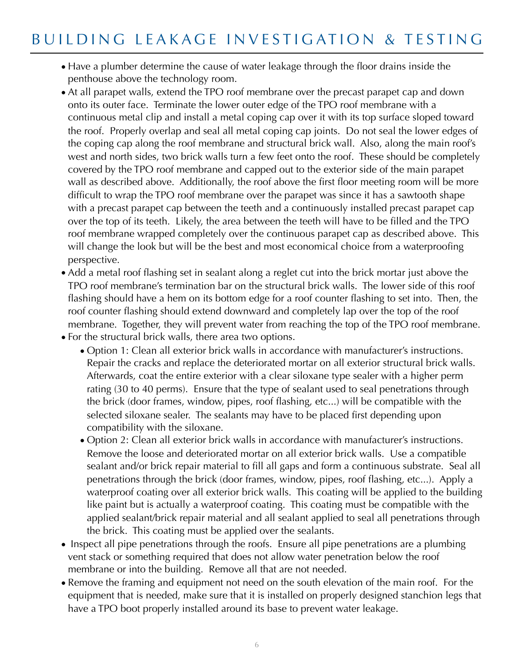- •Have a plumber determine the cause of water leakage through the floor drains inside the penthouse above the technology room.
- •At all parapet walls, extend the TPO roof membrane over the precast parapet cap and down onto its outer face. Terminate the lower outer edge of the TPO roof membrane with a continuous metal clip and install a metal coping cap over it with its top surface sloped toward the roof. Properly overlap and seal all metal coping cap joints. Do not seal the lower edges of the coping cap along the roof membrane and structural brick wall. Also, along the main roof's west and north sides, two brick walls turn a few feet onto the roof. These should be completely covered by the TPO roof membrane and capped out to the exterior side of the main parapet wall as described above. Additionally, the roof above the first floor meeting room will be more difficult to wrap the TPO roof membrane over the parapet was since it has a sawtooth shape with a precast parapet cap between the teeth and a continuously installed precast parapet cap over the top of its teeth. Likely, the area between the teeth will have to be filled and the TPO roof membrane wrapped completely over the continuous parapet cap as described above. This will change the look but will be the best and most economical choice from a waterproofing perspective.
- •Add a metal roof flashing set in sealant along a reglet cut into the brick mortar just above the TPO roof membrane's termination bar on the structural brick walls. The lower side of this roof flashing should have a hem on its bottom edge for a roof counter flashing to set into. Then, the roof counter flashing should extend downward and completely lap over the top of the roof membrane. Together, they will prevent water from reaching the top of the TPO roof membrane. •For the structural brick walls, there area two options.
	- Option 1: Clean all exterior brick walls in accordance with manufacturer's instructions. Repair the cracks and replace the deteriorated mortar on all exterior structural brick walls. Afterwards, coat the entire exterior with a clear siloxane type sealer with a higher perm rating (30 to 40 perms). Ensure that the type of sealant used to seal penetrations through the brick (door frames, window, pipes, roof flashing, etc...) will be compatible with the selected siloxane sealer. The sealants may have to be placed first depending upon compatibility with the siloxane.
	- Option 2: Clean all exterior brick walls in accordance with manufacturer's instructions. Remove the loose and deteriorated mortar on all exterior brick walls. Use a compatible sealant and/or brick repair material to fill all gaps and form a continuous substrate. Seal all penetrations through the brick (door frames, window, pipes, roof flashing, etc...). Apply a waterproof coating over all exterior brick walls. This coating will be applied to the building like paint but is actually a waterproof coating. This coating must be compatible with the applied sealant/brick repair material and all sealant applied to seal all penetrations through the brick. This coating must be applied over the sealants.
- Inspect all pipe penetrations through the roofs. Ensure all pipe penetrations are a plumbing vent stack or something required that does not allow water penetration below the roof membrane or into the building. Remove all that are not needed.
- •Remove the framing and equipment not need on the south elevation of the main roof. For the equipment that is needed, make sure that it is installed on properly designed stanchion legs that have a TPO boot properly installed around its base to prevent water leakage.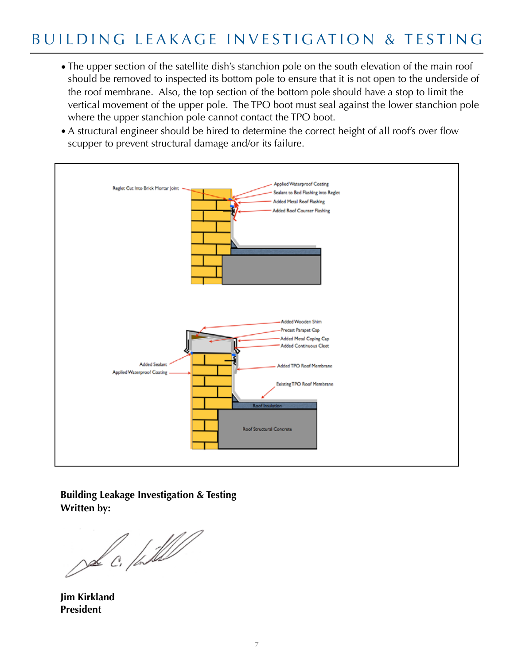- •The upper section of the satellite dish's stanchion pole on the south elevation of the main roof should be removed to inspected its bottom pole to ensure that it is not open to the underside of the roof membrane. Also, the top section of the bottom pole should have a stop to limit the vertical movement of the upper pole. The TPO boot must seal against the lower stanchion pole where the upper stanchion pole cannot contact the TPO boot.
- •A structural engineer should be hired to determine the correct height of all roof's over flow scupper to prevent structural damage and/or its failure.



**Building Leakage Investigation & Testing Written by:** 

Del C. / Sull

**Jim Kirkland President**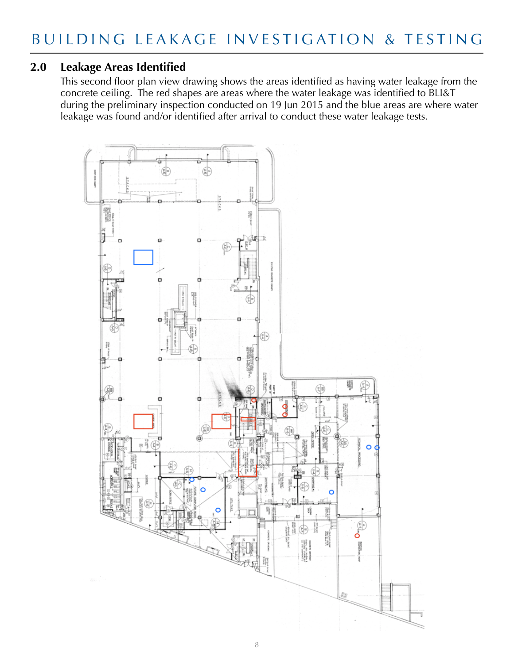### **2.0 Leakage Areas Identified**

This second floor plan view drawing shows the areas identified as having water leakage from the concrete ceiling. The red shapes are areas where the water leakage was identified to BLI&T during the preliminary inspection conducted on 19 Jun 2015 and the blue areas are where water leakage was found and/or identified after arrival to conduct these water leakage tests.